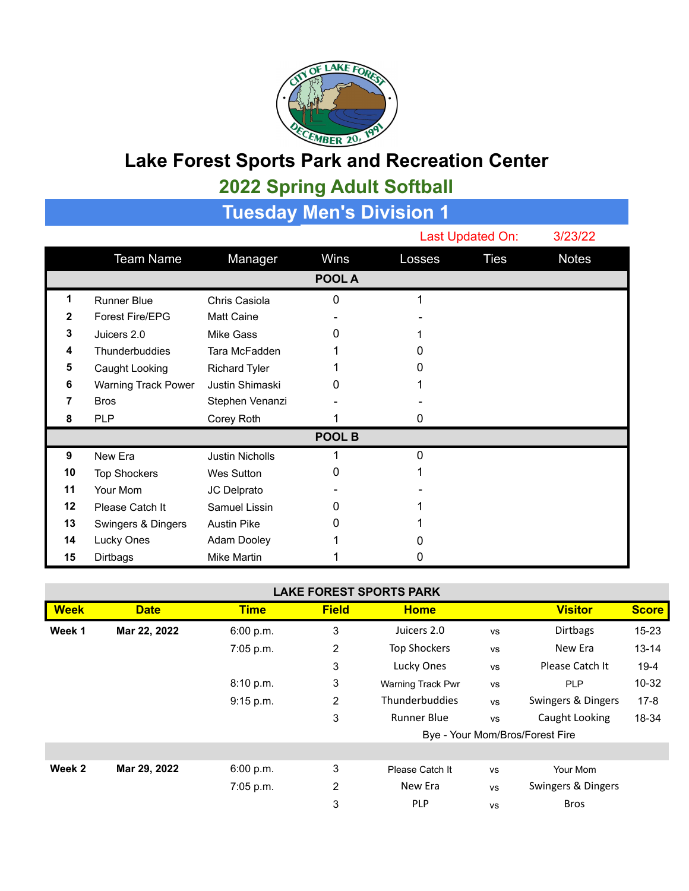

## **Lake Forest Sports Park and Recreation Center**

## **2022 Spring Adult Softball**

| Tuesday Men's Divisi <u>on 1</u> |                            |                        |        |          |                  |              |  |  |  |
|----------------------------------|----------------------------|------------------------|--------|----------|------------------|--------------|--|--|--|
|                                  |                            |                        |        |          | Last Updated On: |              |  |  |  |
|                                  | <b>Team Name</b>           | Manager                | Wins   | Losses   | <b>Ties</b>      | <b>Notes</b> |  |  |  |
|                                  |                            |                        | POOL A |          |                  |              |  |  |  |
| 1                                | <b>Runner Blue</b>         | Chris Casiola          | 0      |          |                  |              |  |  |  |
| 2                                | Forest Fire/EPG            | <b>Matt Caine</b>      |        |          |                  |              |  |  |  |
| 3                                | Juicers 2.0                | <b>Mike Gass</b>       | O      |          |                  |              |  |  |  |
| 4                                | Thunderbuddies             | Tara McFadden          |        |          |                  |              |  |  |  |
| 5                                | Caught Looking             | <b>Richard Tyler</b>   |        |          |                  |              |  |  |  |
| 6                                | <b>Warning Track Power</b> | Justin Shimaski        | 0      |          |                  |              |  |  |  |
| 7                                | <b>Bros</b>                | Stephen Venanzi        |        |          |                  |              |  |  |  |
| 8                                | <b>PLP</b>                 | Corey Roth             |        | 0        |                  |              |  |  |  |
| POOL B                           |                            |                        |        |          |                  |              |  |  |  |
| 9                                | New Era                    | <b>Justin Nicholls</b> |        | $\Omega$ |                  |              |  |  |  |
| 10                               | <b>Top Shockers</b>        | <b>Wes Sutton</b>      | Ω      |          |                  |              |  |  |  |
| 11                               | Your Mom                   | JC Delprato            |        |          |                  |              |  |  |  |
| 12                               | Please Catch It            | Samuel Lissin          | O      |          |                  |              |  |  |  |
| 13                               | Swingers & Dingers         | <b>Austin Pike</b>     | O      |          |                  |              |  |  |  |
| 14                               | Lucky Ones                 | Adam Dooley            |        |          |                  |              |  |  |  |
| 15                               | Dirtbags                   | <b>Mike Martin</b>     |        | O        |                  |              |  |  |  |

## **LAKE FOREST SPORTS PARK**

| <b>Week</b> | <b>Date</b>  | <b>Time</b> | <b>Field</b> | <b>Home</b>                     |           | <b>Visitor</b>     | <b>Score</b> |
|-------------|--------------|-------------|--------------|---------------------------------|-----------|--------------------|--------------|
| Week 1      | Mar 22, 2022 | 6:00 p.m.   | 3            | Juicers 2.0                     | <b>VS</b> | <b>Dirtbags</b>    | 15-23        |
|             |              | 7:05 p.m.   | 2            | <b>Top Shockers</b>             | <b>VS</b> | New Era            | $13 - 14$    |
|             |              |             | 3            | Lucky Ones                      | <b>VS</b> | Please Catch It    | $19 - 4$     |
|             |              | 8:10 p.m.   | 3            | Warning Track Pwr               | <b>VS</b> | <b>PLP</b>         | 10-32        |
|             |              | 9:15 p.m.   | 2            | <b>Thunderbuddies</b>           | <b>VS</b> | Swingers & Dingers | $17-8$       |
|             |              |             | 3            | <b>Runner Blue</b>              | <b>VS</b> | Caught Looking     | 18-34        |
|             |              |             |              | Bye - Your Mom/Bros/Forest Fire |           |                    |              |
|             |              |             |              |                                 |           |                    |              |
| Week 2      | Mar 29, 2022 | 6:00 p.m.   | 3            | Please Catch It                 | <b>VS</b> | Your Mom           |              |
|             |              | $7:05$ p.m. | 2            | New Era                         | <b>VS</b> | Swingers & Dingers |              |
|             |              |             | 3            | <b>PLP</b>                      | <b>VS</b> | <b>Bros</b>        |              |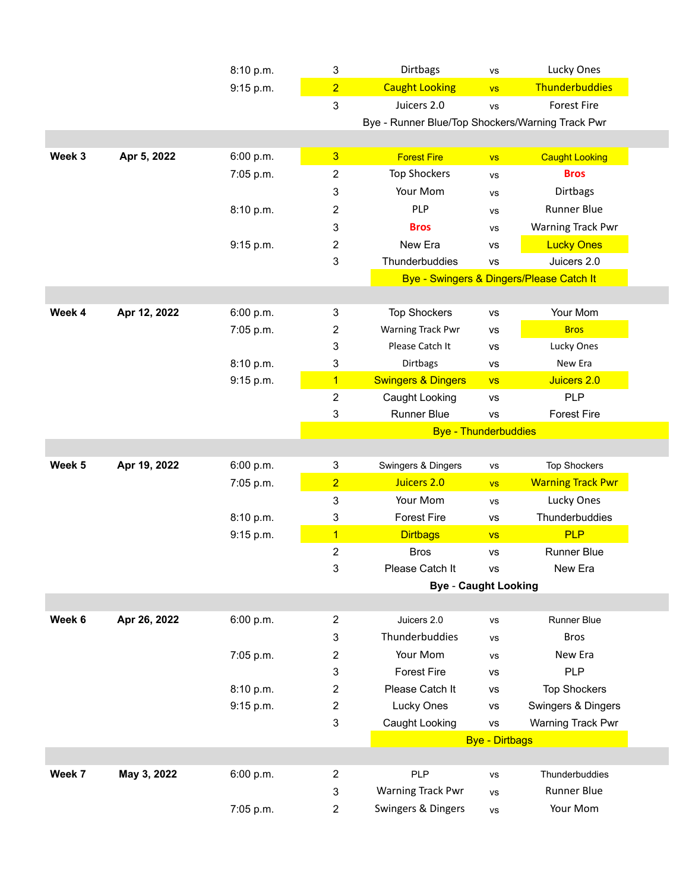|        |              | 8:10 p.m. | $\mathbf{3}$     | Dirtbags                                         | <b>VS</b>             | Lucky Ones                               |
|--------|--------------|-----------|------------------|--------------------------------------------------|-----------------------|------------------------------------------|
|        |              | 9:15 p.m. | $\overline{2}$   | <b>Caught Looking</b>                            | <b>VS</b>             | Thunderbuddies                           |
|        |              |           | 3                | Juicers 2.0                                      | <b>VS</b>             | <b>Forest Fire</b>                       |
|        |              |           |                  | Bye - Runner Blue/Top Shockers/Warning Track Pwr |                       |                                          |
|        |              |           |                  |                                                  |                       |                                          |
| Week 3 | Apr 5, 2022  | 6:00 p.m. | $\overline{3}$   | <b>Forest Fire</b>                               | VS                    | <b>Caught Looking</b>                    |
|        |              | 7:05 p.m. | $\boldsymbol{2}$ | <b>Top Shockers</b>                              | <b>VS</b>             | <b>Bros</b>                              |
|        |              |           | 3                | Your Mom                                         | <b>VS</b>             | Dirtbags                                 |
|        |              | 8:10 p.m. | 2                | PLP                                              | <b>VS</b>             | <b>Runner Blue</b>                       |
|        |              |           | 3                | <b>Bros</b>                                      | <b>VS</b>             | Warning Track Pwr                        |
|        |              | 9:15 p.m. | 2                | New Era                                          | <b>VS</b>             | <b>Lucky Ones</b>                        |
|        |              |           | 3                | Thunderbuddies                                   | <b>VS</b>             | Juicers 2.0                              |
|        |              |           |                  |                                                  |                       | Bye - Swingers & Dingers/Please Catch It |
|        |              |           |                  |                                                  |                       |                                          |
| Week 4 | Apr 12, 2022 | 6:00 p.m. | 3                | <b>Top Shockers</b>                              | <b>VS</b>             | Your Mom                                 |
|        |              | 7:05 p.m. | $\overline{c}$   | Warning Track Pwr                                | vs                    | <b>Bros</b>                              |
|        |              |           | 3                | Please Catch It                                  | <b>VS</b>             | Lucky Ones                               |
|        |              | 8:10 p.m. | 3                | Dirtbags                                         | VS                    | New Era                                  |
|        |              | 9:15 p.m. | $\overline{1}$   | <b>Swingers &amp; Dingers</b>                    | <b>VS</b>             | Juicers 2.0                              |
|        |              |           | $\overline{2}$   | Caught Looking                                   | <b>VS</b>             | PLP                                      |
|        |              |           | $\mathbf{3}$     | Runner Blue                                      | <b>VS</b>             | <b>Forest Fire</b>                       |
|        |              |           |                  | <b>Bye - Thunderbuddies</b>                      |                       |                                          |
|        |              |           |                  |                                                  |                       |                                          |
| Week 5 | Apr 19, 2022 | 6:00 p.m. | 3                | Swingers & Dingers                               | <b>VS</b>             | <b>Top Shockers</b>                      |
|        |              | 7:05 p.m. | $\overline{2}$   | Juicers 2.0                                      | <b>VS</b>             | <b>Warning Track Pwr</b>                 |
|        |              |           | 3                | Your Mom                                         | <b>VS</b>             | Lucky Ones                               |
|        |              | 8:10 p.m. | 3                | <b>Forest Fire</b>                               | <b>VS</b>             | Thunderbuddies                           |
|        |              | 9:15 p.m. | $\overline{1}$   | <b>Dirtbags</b>                                  | <b>VS</b>             | <b>PLP</b>                               |
|        |              |           | $\overline{2}$   | <b>Bros</b>                                      | <b>VS</b>             | Runner Blue                              |
|        |              |           | 3                | Please Catch It                                  | <b>VS</b>             | New Era                                  |
|        |              |           |                  | <b>Bye - Caught Looking</b>                      |                       |                                          |
|        |              |           |                  |                                                  |                       |                                          |
| Week 6 | Apr 26, 2022 | 6:00 p.m. | 2                | Juicers 2.0                                      | <b>VS</b>             | Runner Blue                              |
|        |              |           | 3                | Thunderbuddies                                   | <b>VS</b>             | <b>Bros</b>                              |
|        |              | 7:05 p.m. | $\overline{c}$   | Your Mom                                         | <b>VS</b>             | New Era                                  |
|        |              |           | 3                | <b>Forest Fire</b>                               | VS                    | <b>PLP</b>                               |
|        |              | 8:10 p.m. | $\overline{c}$   | Please Catch It                                  | VS                    | <b>Top Shockers</b>                      |
|        |              | 9:15 p.m. | $\mathbf{2}$     | Lucky Ones                                       | vs                    | Swingers & Dingers                       |
|        |              |           | 3                | Caught Looking                                   | <b>VS</b>             | Warning Track Pwr                        |
|        |              |           |                  |                                                  | <b>Bye - Dirtbags</b> |                                          |
|        |              |           |                  |                                                  |                       |                                          |
| Week 7 | May 3, 2022  | 6:00 p.m. | $\mathbf{2}$     | <b>PLP</b>                                       | <b>VS</b>             | Thunderbuddies                           |
|        |              |           | 3                | <b>Warning Track Pwr</b>                         | <b>VS</b>             | <b>Runner Blue</b>                       |
|        |              | 7:05 p.m. | $\overline{c}$   | Swingers & Dingers                               | VS                    | Your Mom                                 |